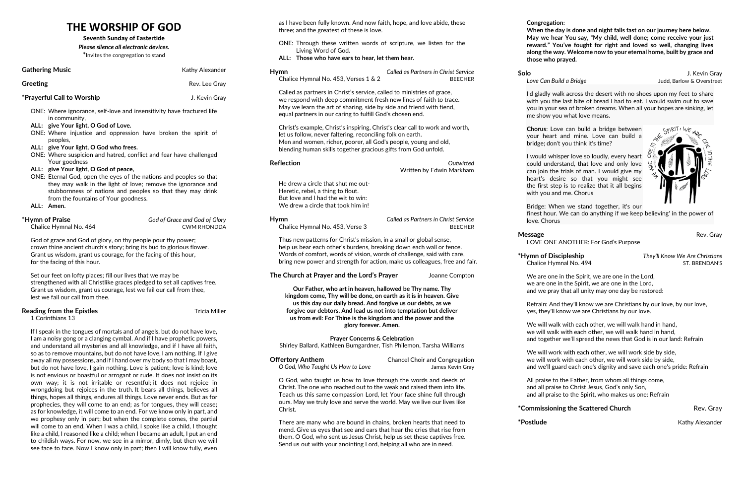## **THE WORSHIP OF GOD**

**Seventh Sunday of Eastertide**

*Please silence all electronic devices.* **\***Invites the congregation to stand

| <b>Gathering Music</b>                                                                                                                                                                                                                                                                                                                                                                                                                                                                                                                             | Kathy Alexander                                                                               | <b>Hymn</b>                                                                                           |
|----------------------------------------------------------------------------------------------------------------------------------------------------------------------------------------------------------------------------------------------------------------------------------------------------------------------------------------------------------------------------------------------------------------------------------------------------------------------------------------------------------------------------------------------------|-----------------------------------------------------------------------------------------------|-------------------------------------------------------------------------------------------------------|
| <b>Greeting</b>                                                                                                                                                                                                                                                                                                                                                                                                                                                                                                                                    | Rev. Lee Gray                                                                                 | Chalice Hymnal No. 4                                                                                  |
| *Prayerful Call to Worship                                                                                                                                                                                                                                                                                                                                                                                                                                                                                                                         | J. Kevin Gray                                                                                 | Called as partners in C<br>we respond with deep                                                       |
| ONE: Where ignorance, self-love and insensitivity have fractured life<br>in community,                                                                                                                                                                                                                                                                                                                                                                                                                                                             |                                                                                               | May we learn the art o<br>equal partners in our o                                                     |
| ALL: give Your light, O God of Love.<br>ONE: Where injustice and oppression have broken the spirit of<br>peoples,<br>ALL: give Your light, O God who frees.<br>ONE: Where suspicion and hatred, conflict and fear have challenged                                                                                                                                                                                                                                                                                                                  |                                                                                               | Christ's example, Chri<br>let us follow, never fal<br>Men and women, rich<br>blending human skills    |
| Your goodness<br>ALL: give Your light, O God of peace,                                                                                                                                                                                                                                                                                                                                                                                                                                                                                             |                                                                                               | <b>Reflection</b>                                                                                     |
| ONE: Eternal God, open the eyes of the nations and peoples so that<br>they may walk in the light of love; remove the ignorance and<br>stubbornness of nations and peoples so that they may drink<br>from the fountains of Your goodness.<br>ALL: Amen.                                                                                                                                                                                                                                                                                             |                                                                                               | He drew a circle that s<br>Heretic, rebel, a thing<br>But love and I had the<br>We drew a circle that |
| *Hymn of Praise<br>Chalice Hymnal No. 464                                                                                                                                                                                                                                                                                                                                                                                                                                                                                                          | God of Grace and God of Glory<br><b>CWM RHONDDA</b>                                           | <b>Hymn</b><br>Chalice Hymnal No. 4                                                                   |
| God of grace and God of glory, on thy people pour thy power;<br>crown thine ancient church's story; bring its bud to glorious flower.<br>Grant us wisdom, grant us courage, for the facing of this hour,<br>for the facing of this hour.                                                                                                                                                                                                                                                                                                           | Thus new patterns for<br>help us bear each oth<br>Words of comfort, wo<br>bring new power and |                                                                                                       |
| Set our feet on lofty places; fill our lives that we may be<br>strengthened with all Christlike graces pledged to set all captives free.<br>Grant us wisdom, grant us courage, lest we fail our call from thee,<br>lest we fail our call from thee.                                                                                                                                                                                                                                                                                                |                                                                                               | The Church at Prayer a<br>Our Father, who<br>kingdom come, Thy                                        |
| <b>Reading from the Epistles</b><br>1 Corinthians 13                                                                                                                                                                                                                                                                                                                                                                                                                                                                                               | <b>Tricia Miller</b>                                                                          | us this day our d<br>forgive our debtors<br>us from evil: For                                         |
| If I speak in the tongues of mortals and of angels, but do not have love,<br>I am a noisy gong or a clanging cymbal. And if I have prophetic powers,<br>and understand all mysteries and all knowledge, and if I have all faith,<br>so as to remove mountains, but do not have love, I am nothing. If I give<br>away all my possessions, and if I hand over my body so that I may boast,<br>but do not have love, I gain nothing. Love is patient; love is kind; love<br>is not envious or boastful or arrogant or rude. It does not insist on its |                                                                                               | Pra<br>Shirley Ballard, Kathle<br><b>Offertory Anthem</b><br>O God, Who Taught Us                     |

own way; it is not irritable or resentful; it does not rejoice in wrongdoing but rejoices in the truth. It bears all things, believes all things, hopes all things, endures all things. Love never ends. But as for prophecies, they will come to an end; as for tongues, they will cease;

| <b>Offertory Anthem</b>          | <b>Chancel Choir and Congregation</b> |
|----------------------------------|---------------------------------------|
| O God, Who Taught Us How to Love | James Kevin Gray                      |

as for knowledge, it will come to an end. For we know only in part, and we prophesy only in part; but when the complete comes, the partial will come to an end. When I was a child, I spoke like a child, I thought like a child, I reasoned like a child; when I became an adult, I put an end to childish ways. For now, we see in a mirror, dimly, but then we will see face to face. Now I know only in part; then I will know fully, even

as I have been fully known. And now faith, hope, and love abide, these three; and the greatest of these is love.

> **Solo** J. Kevin Gray **Love Can Build a Bridge** The Manus Coverstructure of the United States of Love Can Build a Bridge

- ONE: Through these written words of scripture, we listen for the Living Word of God.
- **ALL: Those who have ears to hear, let them hear.**

I'd gladly walk across the desert with no shoes upon my feet to share with you the last bite of bread I had to eat. I would swim out to save you in your sea of broken dreams. When all your hopes are sinking, let me show you what love means.

| Hymn                                 | Called as Partners in Christ Service |
|--------------------------------------|--------------------------------------|
| Chalice Hymnal No. 453, Verses 1 & 2 | <b>BFFCHFR</b>                       |
|                                      |                                      |

Christ's service, called to ministries of grace, o commitment fresh new lines of faith to trace. of sharing, side by side and friend with fiend, caring to fulfill God's chosen end.

st's inspiring, Christ's clear call to work and worth, ltering, reconciling folk on earth. er, poorer, all God's people, young and old, together gracious gifts from God unfold.

> **\*Hymn of Discipleship** *They'll Know We Are Christians* Chalice Hymnal No. 494 ST. BRENDAN'S

**Reflection** *Outwitted*

# Written by Edwin Markham

shut me outto flout. wit to win: took him in!

> **Hymn** *Called as Partners in Christ Service* Chalice Hymnal No. 453, Verse 3 BEECHER

 $\cdot$  Christ's mission, in a small or global sense, er's burdens, breaking down each wall or fence. ords of vision, words of challenge, said with care, strength for action, make us colleagues, free and fair.

**The Church at Prayer and the Lord's Prayer** Joanne Compton

**Our Father, who art in heaven, hallowed be Thy name. Thy k** will be done, on earth as it is in heaven. Give **us this day our daily bread. And forgive us our debts, as we forgive is not into temptation but deliver us from evil: For Thine is the kingdom and the power and the glory forever. Amen.**

## **Prayer Concerns & Celebration**

en Bumgardner, Tish Philemon, Tarsha Williams

O God, who taught us how to love through the words and deeds of Christ. The one who reached out to the weak and raised them into life. Teach us this same compassion Lord, let Your face shine full through ours. May we truly love and serve the world. May we live our lives like Christ.

There are many who are bound in chains, broken hearts that need to mend. Give us eyes that see and ears that hear the cries that rise from them. O God, who sent us Jesus Christ, help us set these captives free. Send us out with your anointing Lord, helping all who are in need.

**Congregation:**

**When the day is done and night falls fast on our journey here below. May we hear You say, "My child, well done; come receive your just reward." You've fought for right and loved so well, changing lives along the way. Welcome now to your eternal home, built by grace and those who prayed.**

**Chorus**: Love can build a bridge between your heart and mine. Love can build a bridge; don't you think it's time?

I would whisper love so loudly, every heart could understand, that love and only love can join the trials of man. I would give my heart's desire so that you might see the first step is to realize that it all begins with you and me. Chorus

Bridge: When we stand together, it's our

finest hour. We can do anything if we keep believing' in the power of

love. Chorus

# **Message Rev. Gray**

LOVE ONE ANOTHER: For God's Purpose

We are one in the Spirit, we are one in the Lord, we are one in the Spirit, we are one in the Lord, and we pray that all unity may one day be restored:

## **\*Commissioning the Scattered Church Theory Rev. Gray**

**\*Postlude** Kathy Alexander



Refrain: And they'll know we are Christians by our love, by our love, yes, they'll know we are Christians by our love.

We will walk with each other, we will walk hand in hand, we will walk with each other, we will walk hand in hand, and together we'll spread the news that God is in our land: Refrain

We will work with each other, we will work side by side, we will work with each other, we will work side by side, and we'll guard each one's dignity and save each one's pride: Refrain

All praise to the Father, from whom all things come, and all praise to Christ Jesus, God's only Son, and all praise to the Spirit, who makes us one: Refrain